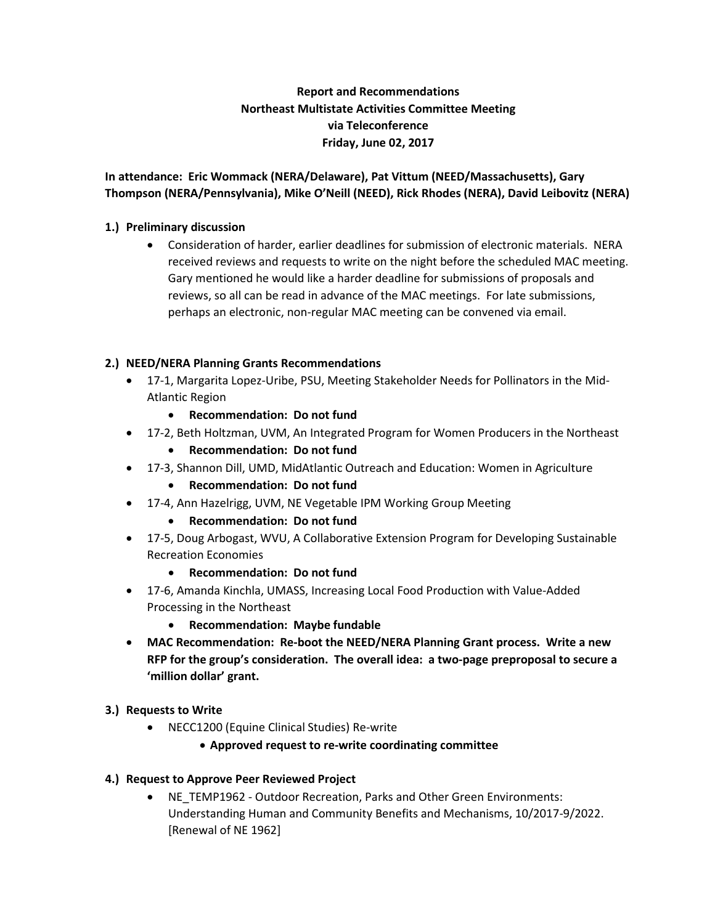# **Report and Recommendations Northeast Multistate Activities Committee Meeting via Teleconference Friday, June 02, 2017**

**In attendance: Eric Wommack (NERA/Delaware), Pat Vittum (NEED/Massachusetts), Gary Thompson (NERA/Pennsylvania), Mike O'Neill (NEED), Rick Rhodes (NERA), David Leibovitz (NERA)**

## **1.) Preliminary discussion**

• Consideration of harder, earlier deadlines for submission of electronic materials. NERA received reviews and requests to write on the night before the scheduled MAC meeting. Gary mentioned he would like a harder deadline for submissions of proposals and reviews, so all can be read in advance of the MAC meetings. For late submissions, perhaps an electronic, non-regular MAC meeting can be convened via email.

### **2.) NEED/NERA Planning Grants Recommendations**

- 17-1, Margarita Lopez-Uribe, PSU, Meeting Stakeholder Needs for Pollinators in the Mid-Atlantic Region
	- **Recommendation: Do not fund**
- 17-2, Beth Holtzman, UVM, An Integrated Program for Women Producers in the Northeast
	- **Recommendation: Do not fund**
- 17-3, Shannon Dill, UMD, MidAtlantic Outreach and Education: Women in Agriculture
	- **Recommendation: Do not fund**
- 17-4, Ann Hazelrigg, UVM, NE Vegetable IPM Working Group Meeting
	- **Recommendation: Do not fund**
- 17-5, Doug Arbogast, WVU, A Collaborative Extension Program for Developing Sustainable Recreation Economies
	- **Recommendation: Do not fund**
- 17-6, Amanda Kinchla, UMASS, Increasing Local Food Production with Value-Added Processing in the Northeast
	- **Recommendation: Maybe fundable**
- **MAC Recommendation: Re-boot the NEED/NERA Planning Grant process. Write a new RFP for the group's consideration. The overall idea: a two-page preproposal to secure a 'million dollar' grant.**

#### **3.) Requests to Write**

- NECC1200 (Equine Clinical Studies) Re-write
	- **Approved request to re-write coordinating committee**
- **4.) Request to Approve Peer Reviewed Project**
	- NE\_TEMP1962 Outdoor Recreation, Parks and Other Green Environments: Understanding Human and Community Benefits and Mechanisms, 10/2017-9/2022. [Renewal of NE 1962]